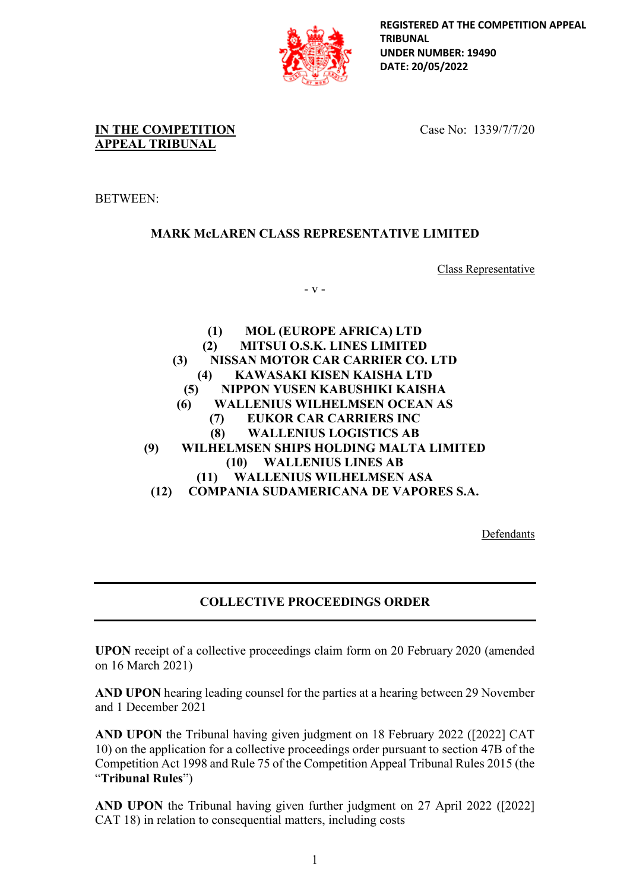

**REGISTERED AT THE COMPETITION APPEAL TRIBUNAL UNDER NUMBER: 19490 DATE: 20/05/2022**

**IN THE COMPETITION APPEAL TRIBUNAL**

Case No: 1339/7/7/20

BETWEEN:

## **MARK McLAREN CLASS REPRESENTATIVE LIMITED**

Class Representative

- v -

**(1) MOL (EUROPE AFRICA) LTD (2) MITSUI O.S.K. LINES LIMITED (3) NISSAN MOTOR CAR CARRIER CO. LTD (4) KAWASAKI KISEN KAISHA LTD (5) NIPPON YUSEN KABUSHIKI KAISHA (6) WALLENIUS WILHELMSEN OCEAN AS (7) EUKOR CAR CARRIERS INC (8) WALLENIUS LOGISTICS AB (9) WILHELMSEN SHIPS HOLDING MALTA LIMITED (10) WALLENIUS LINES AB (11) WALLENIUS WILHELMSEN ASA (12) COMPANIA SUDAMERICANA DE VAPORES S.A.**

Defendants

# **COLLECTIVE PROCEEDINGS ORDER**

**UPON** receipt of a collective proceedings claim form on 20 February 2020 (amended on 16 March 2021)

**AND UPON** hearing leading counsel for the parties at a hearing between 29 November and 1 December 2021

**AND UPON** the Tribunal having given judgment on 18 February 2022 ([2022] CAT 10) on the application for a collective proceedings order pursuant to section 47B of the Competition Act 1998 and Rule 75 of the Competition Appeal Tribunal Rules 2015 (the "**Tribunal Rules**")

**AND UPON** the Tribunal having given further judgment on 27 April 2022 ([2022] CAT 18) in relation to consequential matters, including costs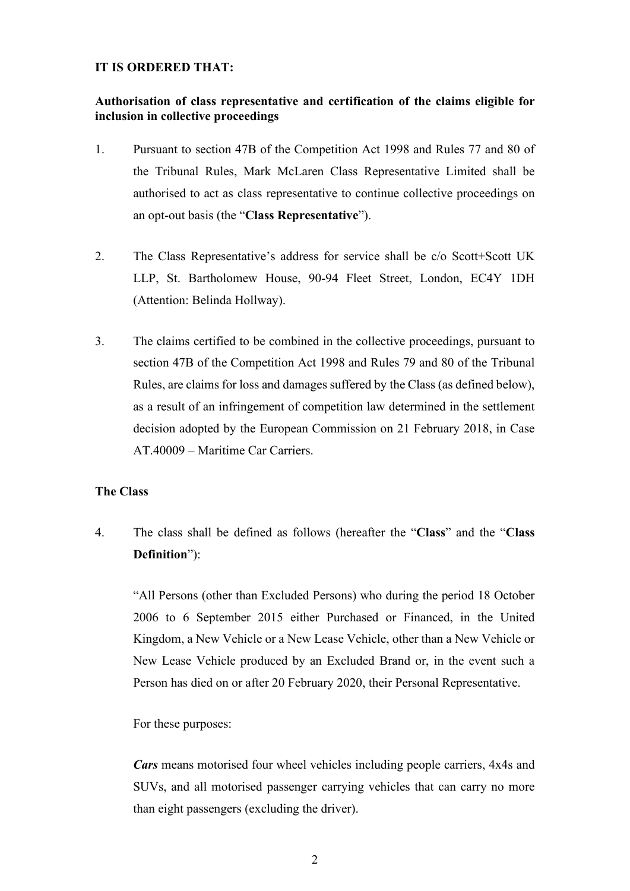### **IT IS ORDERED THAT:**

## **Authorisation of class representative and certification of the claims eligible for inclusion in collective proceedings**

- 1. Pursuant to section 47B of the Competition Act 1998 and Rules 77 and 80 of the Tribunal Rules, Mark McLaren Class Representative Limited shall be authorised to act as class representative to continue collective proceedings on an opt-out basis (the "**Class Representative**").
- 2. The Class Representative's address for service shall be c/o Scott+Scott UK LLP, St. Bartholomew House, 90-94 Fleet Street, London, EC4Y 1DH (Attention: Belinda Hollway).
- 3. The claims certified to be combined in the collective proceedings, pursuant to section 47B of the Competition Act 1998 and Rules 79 and 80 of the Tribunal Rules, are claims for loss and damages suffered by the Class (as defined below), as a result of an infringement of competition law determined in the settlement decision adopted by the European Commission on 21 February 2018, in Case AT.40009 – Maritime Car Carriers.

## **The Class**

4. The class shall be defined as follows (hereafter the "**Class**" and the "**Class Definition**"):

"All Persons (other than Excluded Persons) who during the period 18 October 2006 to 6 September 2015 either Purchased or Financed, in the United Kingdom, a New Vehicle or a New Lease Vehicle, other than a New Vehicle or New Lease Vehicle produced by an Excluded Brand or, in the event such a Person has died on or after 20 February 2020, their Personal Representative.

For these purposes:

*Cars* means motorised four wheel vehicles including people carriers, 4x4s and SUVs, and all motorised passenger carrying vehicles that can carry no more than eight passengers (excluding the driver).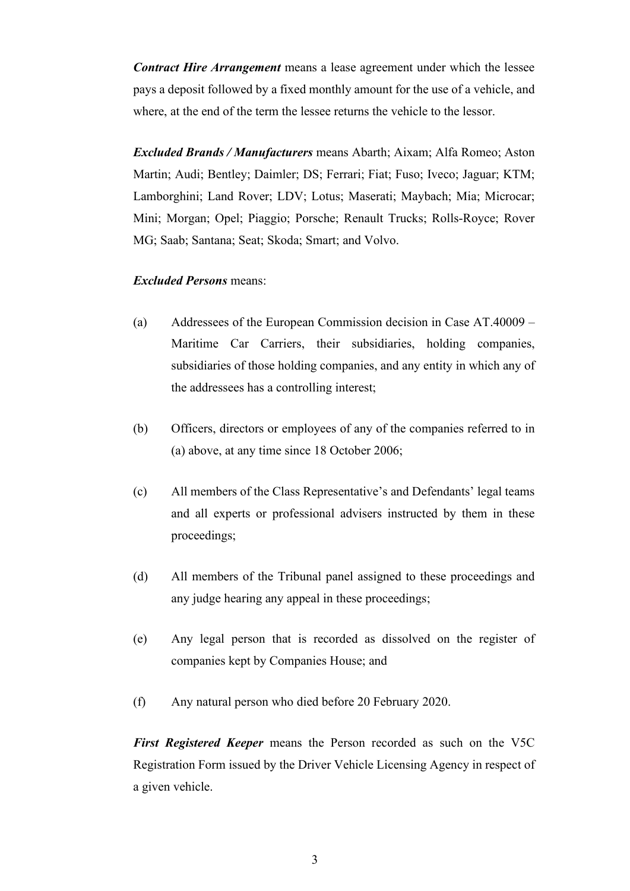*Contract Hire Arrangement* means a lease agreement under which the lessee pays a deposit followed by a fixed monthly amount for the use of a vehicle, and where, at the end of the term the lessee returns the vehicle to the lessor.

*Excluded Brands / Manufacturers* means Abarth; Aixam; Alfa Romeo; Aston Martin; Audi; Bentley; Daimler; DS; Ferrari; Fiat; Fuso; Iveco; Jaguar; KTM; Lamborghini; Land Rover; LDV; Lotus; Maserati; Maybach; Mia; Microcar; Mini; Morgan; Opel; Piaggio; Porsche; Renault Trucks; Rolls-Royce; Rover MG; Saab; Santana; Seat; Skoda; Smart; and Volvo.

### *Excluded Persons* means:

- (a) Addressees of the European Commission decision in Case AT.40009 Maritime Car Carriers, their subsidiaries, holding companies, subsidiaries of those holding companies, and any entity in which any of the addressees has a controlling interest;
- (b) Officers, directors or employees of any of the companies referred to in (a) above, at any time since 18 October 2006;
- (c) All members of the Class Representative's and Defendants' legal teams and all experts or professional advisers instructed by them in these proceedings;
- (d) All members of the Tribunal panel assigned to these proceedings and any judge hearing any appeal in these proceedings;
- (e) Any legal person that is recorded as dissolved on the register of companies kept by Companies House; and
- (f) Any natural person who died before 20 February 2020.

*First Registered Keeper* means the Person recorded as such on the V5C Registration Form issued by the Driver Vehicle Licensing Agency in respect of a given vehicle.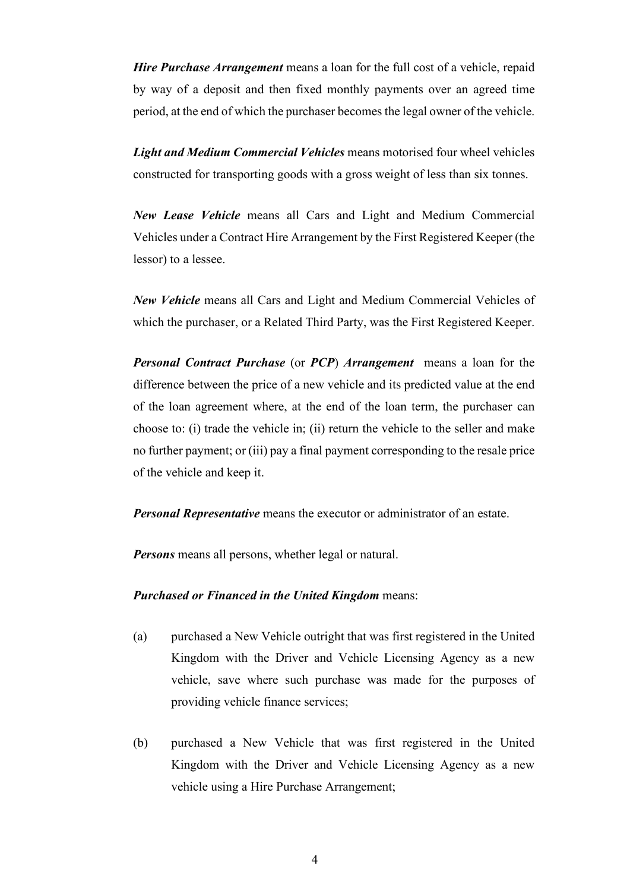*Hire Purchase Arrangement* means a loan for the full cost of a vehicle, repaid by way of a deposit and then fixed monthly payments over an agreed time period, at the end of which the purchaser becomes the legal owner of the vehicle.

*Light and Medium Commercial Vehicles* means motorised four wheel vehicles constructed for transporting goods with a gross weight of less than six tonnes.

*New Lease Vehicle* means all Cars and Light and Medium Commercial Vehicles under a Contract Hire Arrangement by the First Registered Keeper (the lessor) to a lessee.

*New Vehicle* means all Cars and Light and Medium Commercial Vehicles of which the purchaser, or a Related Third Party, was the First Registered Keeper.

*Personal Contract Purchase* (or *PCP*) *Arrangement* means a loan for the difference between the price of a new vehicle and its predicted value at the end of the loan agreement where, at the end of the loan term, the purchaser can choose to: (i) trade the vehicle in; (ii) return the vehicle to the seller and make no further payment; or (iii) pay a final payment corresponding to the resale price of the vehicle and keep it.

*Personal Representative* means the executor or administrator of an estate.

*Persons* means all persons, whether legal or natural.

#### *Purchased or Financed in the United Kingdom* means:

- (a) purchased a New Vehicle outright that was first registered in the United Kingdom with the Driver and Vehicle Licensing Agency as a new vehicle, save where such purchase was made for the purposes of providing vehicle finance services;
- (b) purchased a New Vehicle that was first registered in the United Kingdom with the Driver and Vehicle Licensing Agency as a new vehicle using a Hire Purchase Arrangement;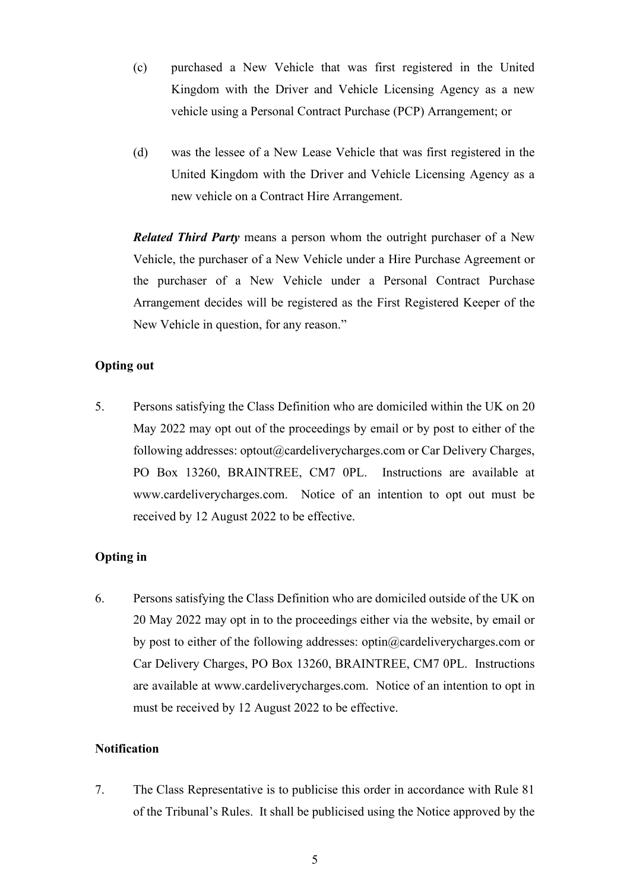- (c) purchased a New Vehicle that was first registered in the United Kingdom with the Driver and Vehicle Licensing Agency as a new vehicle using a Personal Contract Purchase (PCP) Arrangement; or
- (d) was the lessee of a New Lease Vehicle that was first registered in the United Kingdom with the Driver and Vehicle Licensing Agency as a new vehicle on a Contract Hire Arrangement.

*Related Third Party* means a person whom the outright purchaser of a New Vehicle, the purchaser of a New Vehicle under a Hire Purchase Agreement or the purchaser of a New Vehicle under a Personal Contract Purchase Arrangement decides will be registered as the First Registered Keeper of the New Vehicle in question, for any reason."

## **Opting out**

5. Persons satisfying the Class Definition who are domiciled within the UK on 20 May 2022 may opt out of the proceedings by email or by post to either of the following addresses: optout@cardeliverycharges.com or Car Delivery Charges, PO Box 13260, BRAINTREE, CM7 0PL. Instructions are available at www.cardeliverycharges.com. Notice of an intention to opt out must be received by 12 August 2022 to be effective.

## **Opting in**

6. Persons satisfying the Class Definition who are domiciled outside of the UK on 20 May 2022 may opt in to the proceedings either via the website, by email or by post to either of the following addresses: optin@cardeliverycharges.com or Car Delivery Charges, PO Box 13260, BRAINTREE, CM7 0PL. Instructions are available at www.cardeliverycharges.com. Notice of an intention to opt in must be received by 12 August 2022 to be effective.

## **Notification**

7. The Class Representative is to publicise this order in accordance with Rule 81 of the Tribunal's Rules. It shall be publicised using the Notice approved by the